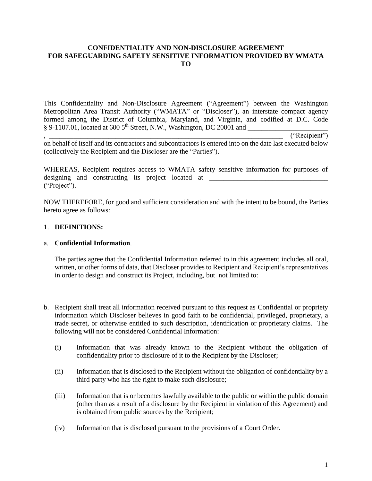### **CONFIDENTIALITY AND NON-DISCLOSURE AGREEMENT FOR SAFEGUARDING SAFETY SENSITIVE INFORMATION PROVIDED BY WMATA TO**

This Confidentiality and Non-Disclosure Agreement ("Agreement") between the Washington Metropolitan Area Transit Authority ("WMATA" or "Discloser"), an interstate compact agency formed among the District of Columbia, Maryland, and Virginia, and codified at D.C. Code § 9-1107.01, located at 600 5th Street, N.W., Washington, DC 20001 and \_\_\_\_\_\_\_\_\_\_\_\_\_\_\_\_\_\_\_\_\_\_\_

 $($ "Recipient")

on behalf of itself and its contractors and subcontractors is entered into on the date last executed below (collectively the Recipient and the Discloser are the "Parties").

WHEREAS, Recipient requires access to WMATA safety sensitive information for purposes of designing and constructing its project located at \_\_\_\_\_\_\_\_\_\_\_\_\_\_\_\_\_\_\_\_\_\_\_\_\_\_\_\_\_\_\_ ("Project").

NOW THEREFORE, for good and sufficient consideration and with the intent to be bound, the Parties hereto agree as follows:

# 1. **DEFINITIONS:**

## a. **Confidential Information**.

The parties agree that the Confidential Information referred to in this agreement includes all oral, written, or other forms of data, that Discloser provides to Recipient and Recipient's representatives in order to design and construct its Project, including, but not limited to:

- b. Recipient shall treat all information received pursuant to this request as Confidential or propriety information which Discloser believes in good faith to be confidential, privileged, proprietary, a trade secret, or otherwise entitled to such description, identification or proprietary claims. The following will not be considered Confidential Information:
	- (i) Information that was already known to the Recipient without the obligation of confidentiality prior to disclosure of it to the Recipient by the Discloser;
	- (ii) Information that is disclosed to the Recipient without the obligation of confidentiality by a third party who has the right to make such disclosure;
	- (iii) Information that is or becomes lawfully available to the public or within the public domain (other than as a result of a disclosure by the Recipient in violation of this Agreement) and is obtained from public sources by the Recipient;
	- (iv) Information that is disclosed pursuant to the provisions of a Court Order.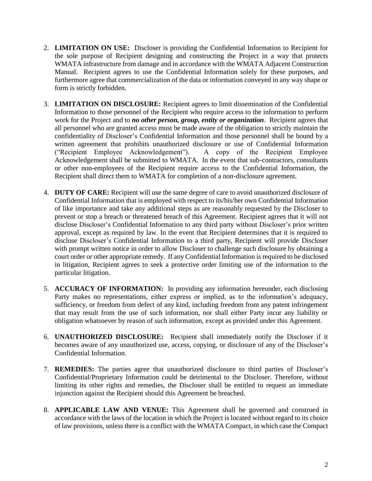- 2. **LIMITATION ON USE:** Discloser is providing the Confidential Information to Recipient for the sole purpose of Recipient designing and constructing the Project in a way that protects WMATA infrastructure from damage and in accordance with the WMATA Adjacent Construction Manual. Recipient agrees to use the Confidential Information solely for these purposes, and furthermore agree that commercialization of the data or information conveyed in any way shape or form is strictly forbidden.
- 3. **LIMITATION ON DISCLOSURE:** Recipient agrees to limit dissemination of the Confidential Information to those personnel of the Recipient who require access to the information to perform work for the Project and to *no other person, group, entity or organization*. Recipient agrees that all personnel who are granted access must be made aware of the obligation to strictly maintain the confidentiality of Discloser's Confidential Information and those personnel shall be bound by a written agreement that prohibits unauthorized disclosure or use of Confidential Information ("Recipient Employee Acknowledgement"). A copy of the Recipient Employee Acknowledgement shall be submitted to WMATA. In the event that sub-contractors, consultants or other non-employees of the Recipient require access to the Confidential Information, the Recipient shall direct them to WMATA for completion of a non-disclosure agreement.
- 4. **DUTY OF CARE:** Recipient will use the same degree of care to avoid unauthorized disclosure of Confidential Information that is employed with respect to its/his/her own Confidential Information of like importance and take any additional steps as are reasonably requested by the Discloser to prevent or stop a breach or threatened breach of this Agreement. Recipient agrees that it will not disclose Discloser's Confidential Information to any third party without Discloser's prior written approval, except as required by law. In the event that Recipient determines that it is required to disclose Discloser's Confidential Information to a third party, Recipient will provide Discloser with prompt written notice in order to allow Discloser to challenge such disclosure by obtaining a court order or other appropriate remedy. If any Confidential Information is required to be disclosed in litigation, Recipient agrees to seek a protective order limiting use of the information to the particular litigation.
- 5. **ACCURACY OF INFORMATION:** In providing any information hereunder, each disclosing Party makes no representations, either express or implied, as to the information's adequacy, sufficiency, or freedom from defect of any kind, including freedom from any patent infringement that may result from the use of such information, nor shall either Party incur any liability or obligation whatsoever by reason of such information, except as provided under this Agreement.
- 6. **UNAUTHORIZED DISCLOSURE:** Recipient shall immediately notify the Discloser if it becomes aware of any unauthorized use, access, copying, or disclosure of any of the Discloser's Confidential Information.
- 7. **REMEDIES:** The parties agree that unauthorized disclosure to third parties of Discloser's Confidential/Proprietary Information could be detrimental to the Discloser. Therefore, without limiting its other rights and remedies, the Discloser shall be entitled to request an immediate injunction against the Recipient should this Agreement be breached.
- 8. **APPLICABLE LAW AND VENUE:** This Agreement shall be governed and construed in accordance with the laws of the location in which the Project is located without regard to its choice of law provisions, unless there is a conflict with the WMATA Compact, in which case the Compact